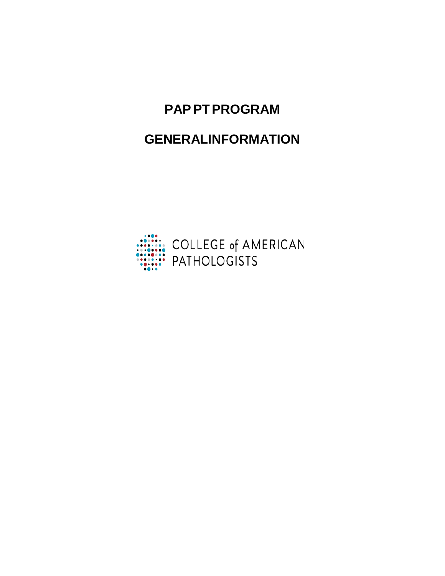# **PAPPTPROGRAM**

# **GENERALINFORMATION**

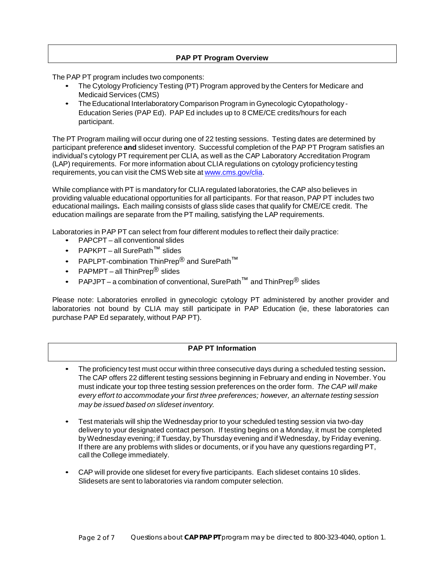# **PAP PT Program Overview**

The PAP PT program includes two components:

- The Cytology Proficiency Testing (PT) Program approved by the Centers for Medicare and Medicaid Services (CMS)
- The Educational Interlaboratory Comparison Program in Gynecologic Cytopathology Education Series (PAP Ed). PAP Ed includes up to 8 CME/CE credits/hours for each participant.

The PT Program mailing will occur during one of 22 testing sessions. Testing dates are determined by participant preference **and** slideset inventory. Successful completion of the PAP PT Program satisfies an individual's cytology PT requirement per CLIA, as well as the CAP Laboratory Accreditation Program (LAP) requirements. For more information about CLIAregulations on cytology proficiency testing requirements, you can visit the CMS Web site at [www.cms.gov/clia.](http://www.cms.gov/clia)

While compliance with PT is mandatory for CLIA regulated laboratories, the CAP also believes in providing valuable educational opportunities for all participants. For that reason, PAP PT includes two educational mailings**.** Each mailing consists of glass slide cases that qualify for CME/CE credit. The education mailings are separate from the PT mailing, satisfying the LAP requirements.

Laboratories in PAP PT can select from four different modules to reflect their daily practice:

- PAPCPT all conventional slides
- PAPKPT all SurePath™ slides
- PAPLPT-combination ThinPrep<sup>®</sup> and SurePath<sup>™</sup>
- PAPMPT all ThinPrep<sup>®</sup> slides
- PAPJPT a combination of conventional, SurePath<sup>TM</sup> and ThinPrep<sup>®</sup> slides

Please note: Laboratories enrolled in gynecologic cytology PT administered by another provider and laboratories not bound by CLIA may still participate in PAP Education (ie, these laboratories can purchase PAP Ed separately, without PAP PT).

# **PAP PT Information**

- The proficiency test must occur within three consecutive days during a scheduled testing session**.** The CAP offers 22 different testing sessions beginning in February and ending in November. You must indicate your top three testing session preferences on the order form. *The CAP will make every effort to accommodate your first three preferences; however, an alternate testing session may be issued based on slideset inventory.*
- Test materials will ship the Wednesday prior to your scheduled testing session via two-day delivery to your designated contact person. If testing begins on a Monday, it must be completed byWednesday evening; if Tuesday, by Thursday evening and if Wednesday, by Friday evening. If there are any problems with slides or documents, or if you have any questions regarding PT, call the College immediately.
- CAP will provide one slideset for every five participants. Each slideset contains 10 slides. Slidesets are sent to laboratories via random computer selection.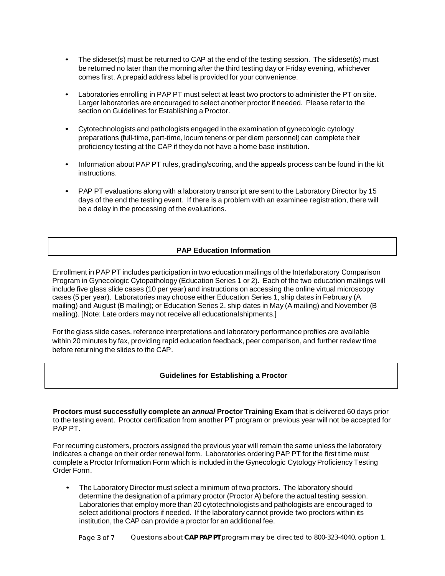- The slideset(s) must be returned to CAP at the end of the testing session. The slideset(s) must be returned no later than the morning after the third testing day or Friday evening, whichever comes first. A prepaid address label is provided for your convenience.
- Laboratories enrolling in PAP PT must select at least two proctors to administer the PT on site. Larger laboratories are encouraged to select another proctor if needed. Please refer to the section on Guidelines for Establishing a Proctor.
- Cytotechnologists and pathologists engaged in the examination of gynecologic cytology preparations (full-time, part-time, locum tenens or per diem personnel) can complete their proficiency testing at the CAP if they do not have a home base institution.
- Information about PAP PT rules, grading/scoring, and the appeals process can be found in the kit instructions.
- PAP PT evaluations along with a laboratory transcript are sent to the Laboratory Director by 15 days of the end the testing event. If there is a problem with an examinee registration, there will be a delay in the processing of the evaluations.

# **PAP Education Information**

Enrollment in PAP PT includes participation in two education mailings of the Interlaboratory Comparison Program in Gynecologic Cytopathology (Education Series 1 or 2). Each of the two education mailings will include five glass slide cases (10 per year) and instructions on accessing the online virtual microscopy cases (5 per year). Laboratories may choose either Education Series 1, ship dates in February (A mailing) and August (B mailing); or Education Series 2, ship dates in May (A mailing) and November (B mailing). [Note: Late orders may not receive all educationalshipments.]

For the glass slide cases, reference interpretations and laboratory performance profiles are available within 20 minutes by fax, providing rapid education feedback, peer comparison, and further review time before returning the slides to the CAP.

### **Guidelines for Establishing a Proctor**

**Proctors must successfully complete an** *annual* **Proctor Training Exam** that is delivered 60 days prior to the testing event. Proctor certification from another PT program or previous year will not be accepted for PAP PT.

For recurring customers, proctors assigned the previous year will remain the same unless the laboratory indicates a change on their order renewal form. Laboratories ordering PAP PT for the first time must complete a Proctor Information Form which is included in the Gynecologic Cytology Proficiency Testing Order Form.

• The Laboratory Director must select a minimum of two proctors. The laboratory should determine the designation of a primary proctor (Proctor A) before the actual testing session. Laboratories that employ more than 20 cytotechnologists and pathologists are encouraged to select additional proctors if needed. If the laboratory cannot provide two proctors within its institution, the CAP can provide a proctor for an additional fee.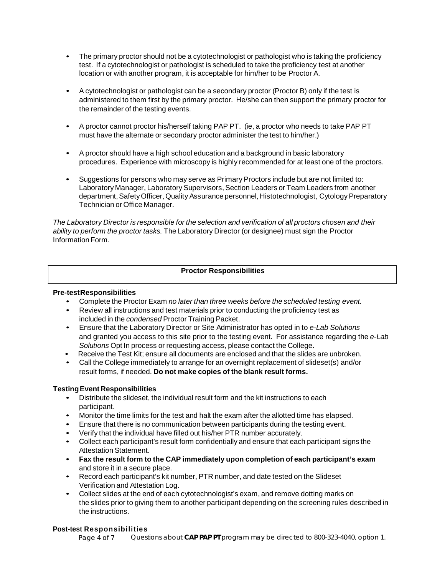- The primary proctor should not be a cytotechnologist or pathologist who is taking the proficiency test. If a cytotechnologist or pathologist is scheduled to take the proficiency test at another location or with another program, it is acceptable for him/her to be Proctor A.
- A cytotechnologist or pathologist can be a secondary proctor (Proctor B) only if the test is administered to them first by the primary proctor. He/she can then support the primary proctor for the remainder of the testing events.
- A proctor cannot proctor his/herself taking PAP PT. (ie, a proctor who needs to take PAP PT must have the alternate or secondary proctor administer the test to him/her.)
- A proctor should have a high school education and a background in basic laboratory procedures. Experience with microscopy is highly recommended for at least one of the proctors.
- Suggestions for persons who may serve as Primary Proctors include but are not limited to: Laboratory Manager, Laboratory Supervisors, Section Leaders or Team Leaders from another department, Safety Officer, Quality Assurance personnel, Histotechnologist, Cytology Preparatory Technician or Office Manager.

*The Laboratory Director is responsible for the selection and verification of all proctors chosen and their ability to perform the proctor tasks.* The Laboratory Director (or designee) must sign the Proctor Information Form.

# **Proctor Responsibilities**

## **Pre-testResponsibilities**

- Complete the Proctor Exam *no later than three weeks before the scheduled testing event.*
- Review all instructions and test materials prior to conducting the proficiency test as included in the *condensed* Proctor Training Packet.
- Ensure that the Laboratory Director or Site Administrator has opted in to *e-Lab Solutions* and granted you access to this site prior to the testing event. For assistance regarding the *e-Lab Solutions* Opt In process or requesting access, please contact the College.
- Receive the Test Kit; ensure all documents are enclosed and that the slides are unbroken*.*
- Call the College immediately to arrange for an overnight replacement of slideset(s) and/or result forms, if needed. **Do not make copies of the blank result forms.**

# **TestingEvent Responsibilities**

- Distribute the slideset, the individual result form and the kit instructions to each participant.
- Monitor the time limits for the test and halt the exam after the allotted time has elapsed.
- Ensure that there is no communication between participants during the testing event.
- Verify that the individual have filled out his/her PTR number accurately.
- Collect each participant's result form confidentially and ensure that each participant signs the Attestation Statement.
- **Fax the result form to the CAP immediately upon completion of each participant's exam** and store it in a secure place.
- Record each participant's kit number, PTR number, and date tested on the Slideset Verification and Attestation Log.
- Collect slides at the end of each cytotechnologist's exam, and remove dotting marks on the slides prior to giving them to another participant depending on the screening rules described in the instructions.

### **Post-test Responsibilities**

Page 4 of 7 Questions about **CAP PAP PT** program may be directed to 800-323-4040, option 1.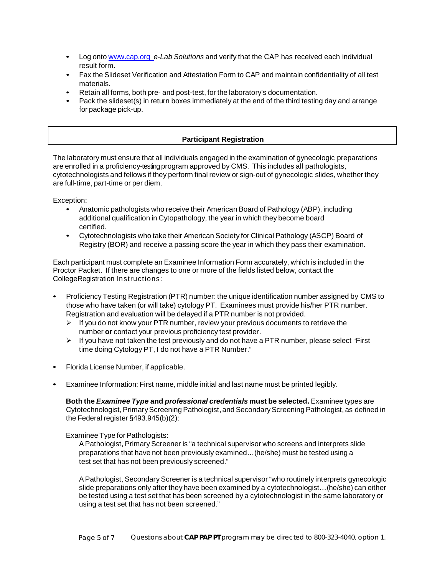- Log onto [www.cap.org](http://www.cap.org/) *e-Lab Solutions* and verify that the CAP has received each individual result form.
- Fax the Slideset Verification and Attestation Form to CAP and maintain confidentiality of all test materials.
- Retain all forms, both pre- and post-test, for the laboratory's documentation.
- Pack the slideset(s) in return boxes immediately at the end of the third testing day and arrange for package pick-up.

# **Participant Registration**

The laboratory must ensure that all individuals engaged in the examination of gynecologic preparations are enrolled in a proficiency-testingprogram approved by CMS. This includes all pathologists, cytotechnologists and fellows if they perform final review or sign-out of gynecologic slides, whether they are full-time, part-time or per diem.

Exception:

- Anatomic pathologists who receive their American Board of Pathology (ABP), including additional qualification in Cytopathology, the year in which they become board certified.
- Cytotechnologists who take their American Society for Clinical Pathology (ASCP) Board of Registry (BOR) and receive a passing score the year in which they pass their examination.

Each participant must complete an Examinee Information Form accurately, which is included in the Proctor Packet. If there are changes to one or more of the fields listed below, contact the CollegeRegistration Instructions:

- Proficiency Testing Registration (PTR) number: the unique identification number assigned by CMS to those who have taken (or will take) cytology PT. Examinees must provide his/her PTR number. Registration and evaluation will be delayed if a PTR number is not provided.
	- $\triangleright$  If you do not know your PTR number, review your previous documents to retrieve the number **or** contact your previous proficiency test provider.
	- $\triangleright$  If you have not taken the test previously and do not have a PTR number, please select "First" time doing Cytology PT, I do not have a PTR Number."
- Florida License Number, if applicable.
- Examinee Information: First name, middle initial and last name must be printed legibly.

**Both the** *Examinee Type* **and** *professional credentials* **must be selected.** Examinee types are Cytotechnologist, Primary Screening Pathologist, and Secondary Screening Pathologist, as defined in the Federal register §493.945(b)(2):

Examinee Type for Pathologists:

A Pathologist, Primary Screener is "a technical supervisor who screens and interprets slide preparations that have not been previously examined…(he/she) must be tested using a test set that has not been previously screened."

APathologist, Secondary Screener is a technical supervisor "who routinely interprets gynecologic slide preparations only after they have been examined by a cytotechnologist…(he/she) can either be tested using a test set that has been screened by a cytotechnologist in the same laboratory or using a test set that has not been screened."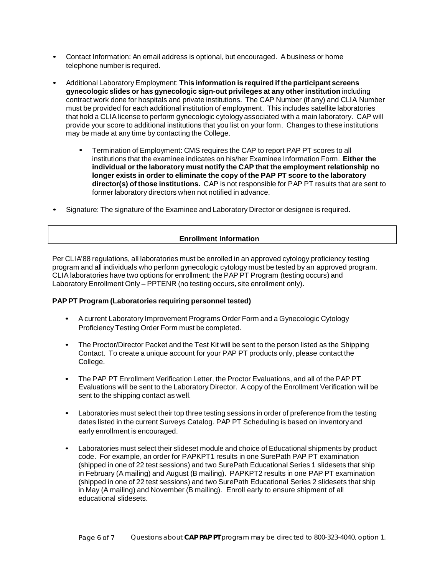- Contact Information: An email address is optional, but encouraged. A business or home telephone number is required.
- Additional Laboratory Employment: **This information is required if the participant screens gynecologic slides or has gynecologic sign-out privileges at any other institution** including contract work done for hospitals and private institutions. The CAP Number (if any) and CLIA Number must be provided for each additional institution of employment. This includes satellite laboratories that hold a CLIA license to perform gynecologic cytology associated with a main laboratory. CAP will provide your score to additional institutions that you list on your form. Changes to these institutions may be made at any time by contacting the College.
	- Termination of Employment: CMS requires the CAP to report PAP PT scores to all institutions that the examinee indicates on his/her Examinee Information Form. **Either the individual or the laboratory must notify the CAP that the employment relationship no longer exists in order to eliminate the copy of the PAP PT score to the laboratory director(s) of those institutions.** CAP is not responsible for PAP PT results that are sent to former laboratory directors when not notified in advance.
- Signature: The signature of the Examinee and Laboratory Director or designee is required.

# **Enrollment Information**

Per CLIA'88 regulations, all laboratories must be enrolled in an approved cytology proficiency testing program and all individuals who perform gynecologic cytology must be tested by an approved program. CLIA laboratories have two options for enrollment: the PAP PT Program (testing occurs) and Laboratory Enrollment Only – PPTENR (no testing occurs, site enrollment only).

### **PAP PT Program (Laboratories requiring personnel tested)**

- Acurrent Laboratory Improvement Programs Order Form and a Gynecologic Cytology Proficiency Testing Order Form must be completed.
- The Proctor/Director Packet and the Test Kit will be sent to the person listed as the Shipping Contact. To create a unique account for your PAP PT products only, please contact the College.
- The PAP PT Enrollment Verification Letter, the Proctor Evaluations, and all of the PAP PT Evaluations will be sent to the Laboratory Director. A copy of the Enrollment Verification will be sent to the shipping contact as well.
- Laboratories must select their top three testing sessions in order of preference from the testing dates listed in the current Surveys Catalog. PAP PT Scheduling is based on inventory and early enrollment is encouraged.
- Laboratories must select their slideset module and choice of Educational shipments by product code. For example, an order for PAPKPT1 results in one SurePath PAP PT examination (shipped in one of 22 test sessions) and two SurePath Educational Series 1 slidesets that ship in February (A mailing) and August (B mailing). PAPKPT2 results in one PAP PT examination (shipped in one of 22 test sessions) and two SurePath Educational Series 2 slidesets that ship in May (A mailing) and November (B mailing). Enroll early to ensure shipment of all educational slidesets.